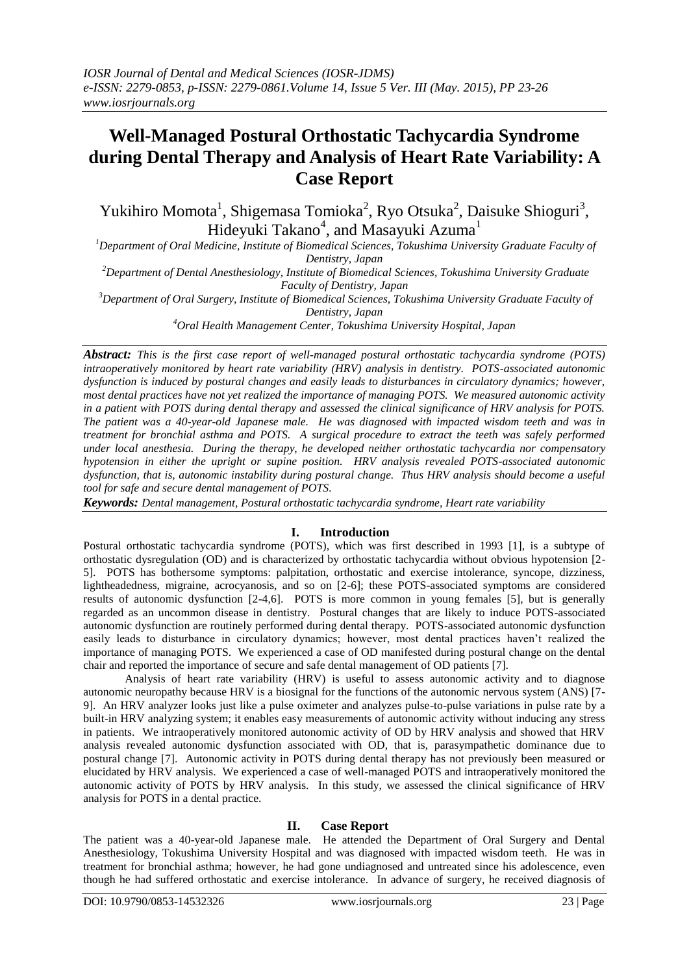# **Well-Managed Postural Orthostatic Tachycardia Syndrome during Dental Therapy and Analysis of Heart Rate Variability: A Case Report**

Yukihiro Momota<sup>1</sup>, Shigemasa Tomioka<sup>2</sup>, Ryo Otsuka<sup>2</sup>, Daisuke Shioguri<sup>3</sup>, Hideyuki Takano<sup>4</sup>, and Masayuki Azuma<sup>1</sup>

*<sup>1</sup>Department of Oral Medicine, Institute of Biomedical Sciences, Tokushima University Graduate Faculty of Dentistry, Japan*

*<sup>2</sup>Department of Dental Anesthesiology, Institute of Biomedical Sciences, Tokushima University Graduate Faculty of Dentistry, Japan*

*<sup>3</sup>Department of Oral Surgery, Institute of Biomedical Sciences, Tokushima University Graduate Faculty of Dentistry, Japan*

*<sup>4</sup>Oral Health Management Center, Tokushima University Hospital, Japan*

*Abstract: This is the first case report of well-managed postural orthostatic tachycardia syndrome (POTS) intraoperatively monitored by heart rate variability (HRV) analysis in dentistry. POTS-associated autonomic dysfunction is induced by postural changes and easily leads to disturbances in circulatory dynamics; however, most dental practices have not yet realized the importance of managing POTS. We measured autonomic activity in a patient with POTS during dental therapy and assessed the clinical significance of HRV analysis for POTS. The patient was a 40-year-old Japanese male. He was diagnosed with impacted wisdom teeth and was in treatment for bronchial asthma and POTS. A surgical procedure to extract the teeth was safely performed under local anesthesia. During the therapy, he developed neither orthostatic tachycardia nor compensatory hypotension in either the upright or supine position. HRV analysis revealed POTS-associated autonomic dysfunction, that is, autonomic instability during postural change. Thus HRV analysis should become a useful tool for safe and secure dental management of POTS.*

*Keywords: Dental management, Postural orthostatic tachycardia syndrome, Heart rate variability*

## **I. Introduction**

Postural orthostatic tachycardia syndrome (POTS), which was first described in 1993 [1], is a subtype of orthostatic dysregulation (OD) and is characterized by orthostatic tachycardia without obvious hypotension [2- 5]. POTS has bothersome symptoms: palpitation, orthostatic and exercise intolerance, syncope, dizziness, lightheadedness, migraine, acrocyanosis, and so on [2-6]; these POTS-associated symptoms are considered results of autonomic dysfunction [2-4,6]. POTS is more common in young females [5], but is generally regarded as an uncommon disease in dentistry. Postural changes that are likely to induce POTS-associated autonomic dysfunction are routinely performed during dental therapy. POTS-associated autonomic dysfunction easily leads to disturbance in circulatory dynamics; however, most dental practices haven't realized the importance of managing POTS. We experienced a case of OD manifested during postural change on the dental chair and reported the importance of secure and safe dental management of OD patients [7].

Analysis of heart rate variability (HRV) is useful to assess autonomic activity and to diagnose autonomic neuropathy because HRV is a biosignal for the functions of the autonomic nervous system (ANS) [7- 9]. An HRV analyzer looks just like a pulse oximeter and analyzes pulse-to-pulse variations in pulse rate by a built-in HRV analyzing system; it enables easy measurements of autonomic activity without inducing any stress in patients. We intraoperatively monitored autonomic activity of OD by HRV analysis and showed that HRV analysis revealed autonomic dysfunction associated with OD, that is, parasympathetic dominance due to postural change [7]. Autonomic activity in POTS during dental therapy has not previously been measured or elucidated by HRV analysis. We experienced a case of well-managed POTS and intraoperatively monitored the autonomic activity of POTS by HRV analysis. In this study, we assessed the clinical significance of HRV analysis for POTS in a dental practice.

## **II. Case Report**

The patient was a 40-year-old Japanese male. He attended the Department of Oral Surgery and Dental Anesthesiology, Tokushima University Hospital and was diagnosed with impacted wisdom teeth. He was in treatment for bronchial asthma; however, he had gone undiagnosed and untreated since his adolescence, even though he had suffered orthostatic and exercise intolerance. In advance of surgery, he received diagnosis of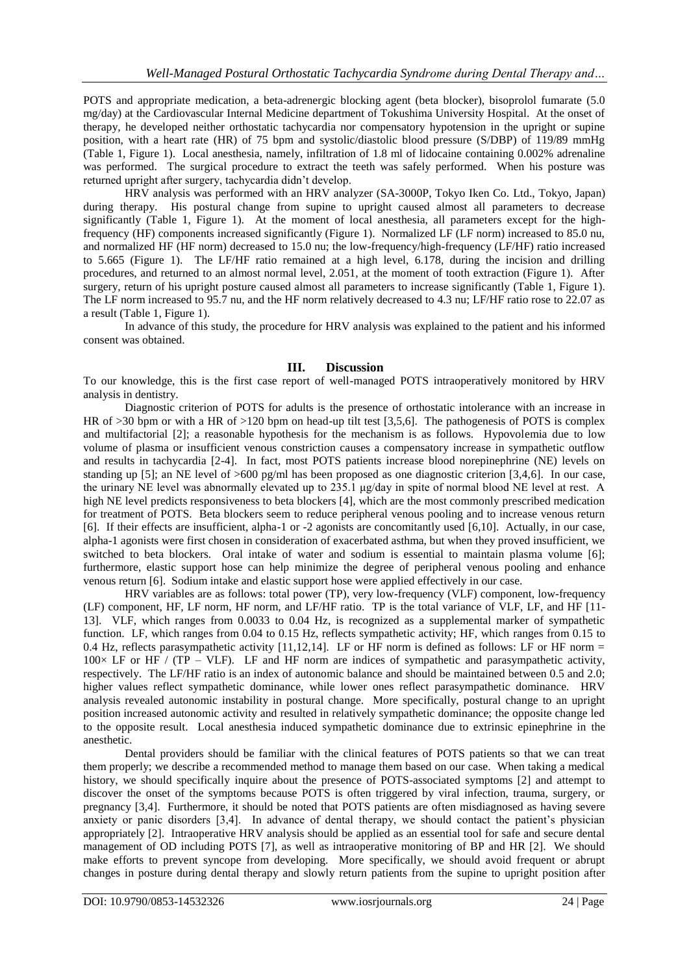POTS and appropriate medication, a beta-adrenergic blocking agent (beta blocker), bisoprolol fumarate (5.0 mg/day) at the Cardiovascular Internal Medicine department of Tokushima University Hospital. At the onset of therapy, he developed neither orthostatic tachycardia nor compensatory hypotension in the upright or supine position, with a heart rate (HR) of 75 bpm and systolic/diastolic blood pressure (S/DBP) of 119/89 mmHg (Table 1, Figure 1). Local anesthesia, namely, infiltration of 1.8 ml of lidocaine containing 0.002% adrenaline was performed. The surgical procedure to extract the teeth was safely performed. When his posture was returned upright after surgery, tachycardia didn't develop.

HRV analysis was performed with an HRV analyzer (SA-3000P, Tokyo Iken Co. Ltd., Tokyo, Japan) during therapy. His postural change from supine to upright caused almost all parameters to decrease significantly (Table 1, Figure 1). At the moment of local anesthesia, all parameters except for the highfrequency (HF) components increased significantly (Figure 1). Normalized LF (LF norm) increased to 85.0 nu, and normalized HF (HF norm) decreased to 15.0 nu; the low-frequency/high-frequency (LF/HF) ratio increased to 5.665 (Figure 1). The LF/HF ratio remained at a high level, 6.178, during the incision and drilling procedures, and returned to an almost normal level, 2.051, at the moment of tooth extraction (Figure 1). After surgery, return of his upright posture caused almost all parameters to increase significantly (Table 1, Figure 1). The LF norm increased to 95.7 nu, and the HF norm relatively decreased to 4.3 nu; LF/HF ratio rose to 22.07 as a result (Table 1, Figure 1).

In advance of this study, the procedure for HRV analysis was explained to the patient and his informed consent was obtained.

#### **III. Discussion**

To our knowledge, this is the first case report of well-managed POTS intraoperatively monitored by HRV analysis in dentistry.

Diagnostic criterion of POTS for adults is the presence of orthostatic intolerance with an increase in HR of >30 bpm or with a HR of >120 bpm on head-up tilt test [3,5,6]. The pathogenesis of POTS is complex and multifactorial [2]; a reasonable hypothesis for the mechanism is as follows. Hypovolemia due to low volume of plasma or insufficient venous constriction causes a compensatory increase in sympathetic outflow and results in tachycardia [2-4]. In fact, most POTS patients increase blood norepinephrine (NE) levels on standing up [5]; an NE level of >600 pg/ml has been proposed as one diagnostic criterion [3,4,6]. In our case, the urinary NE level was abnormally elevated up to 235.1 μg/day in spite of normal blood NE level at rest. A high NE level predicts responsiveness to beta blockers [4], which are the most commonly prescribed medication for treatment of POTS. Beta blockers seem to reduce peripheral venous pooling and to increase venous return [6]. If their effects are insufficient, alpha-1 or -2 agonists are concomitantly used [6,10]. Actually, in our case, alpha-1 agonists were first chosen in consideration of exacerbated asthma, but when they proved insufficient, we switched to beta blockers. Oral intake of water and sodium is essential to maintain plasma volume [6]; furthermore, elastic support hose can help minimize the degree of peripheral venous pooling and enhance venous return [6]. Sodium intake and elastic support hose were applied effectively in our case.

HRV variables are as follows: total power (TP), very low-frequency (VLF) component, low-frequency (LF) component, HF, LF norm, HF norm, and LF/HF ratio. TP is the total variance of VLF, LF, and HF [11- 13]. VLF, which ranges from 0.0033 to 0.04 Hz, is recognized as a supplemental marker of sympathetic function. LF, which ranges from 0.04 to 0.15 Hz, reflects sympathetic activity; HF, which ranges from 0.15 to 0.4 Hz, reflects parasympathetic activity [11,12,14]. LF or HF norm is defined as follows: LF or HF norm  $=$  $100\times$  LF or HF / (TP – VLF). LF and HF norm are indices of sympathetic and parasympathetic activity, respectively. The LF/HF ratio is an index of autonomic balance and should be maintained between 0.5 and 2.0; higher values reflect sympathetic dominance, while lower ones reflect parasympathetic dominance. HRV analysis revealed autonomic instability in postural change. More specifically, postural change to an upright position increased autonomic activity and resulted in relatively sympathetic dominance; the opposite change led to the opposite result. Local anesthesia induced sympathetic dominance due to extrinsic epinephrine in the anesthetic.

Dental providers should be familiar with the clinical features of POTS patients so that we can treat them properly; we describe a recommended method to manage them based on our case. When taking a medical history, we should specifically inquire about the presence of POTS-associated symptoms [2] and attempt to discover the onset of the symptoms because POTS is often triggered by viral infection, trauma, surgery, or pregnancy [3,4]. Furthermore, it should be noted that POTS patients are often misdiagnosed as having severe anxiety or panic disorders [3,4]. In advance of dental therapy, we should contact the patient's physician appropriately [2]. Intraoperative HRV analysis should be applied as an essential tool for safe and secure dental management of OD including POTS [7], as well as intraoperative monitoring of BP and HR [2]. We should make efforts to prevent syncope from developing. More specifically, we should avoid frequent or abrupt changes in posture during dental therapy and slowly return patients from the supine to upright position after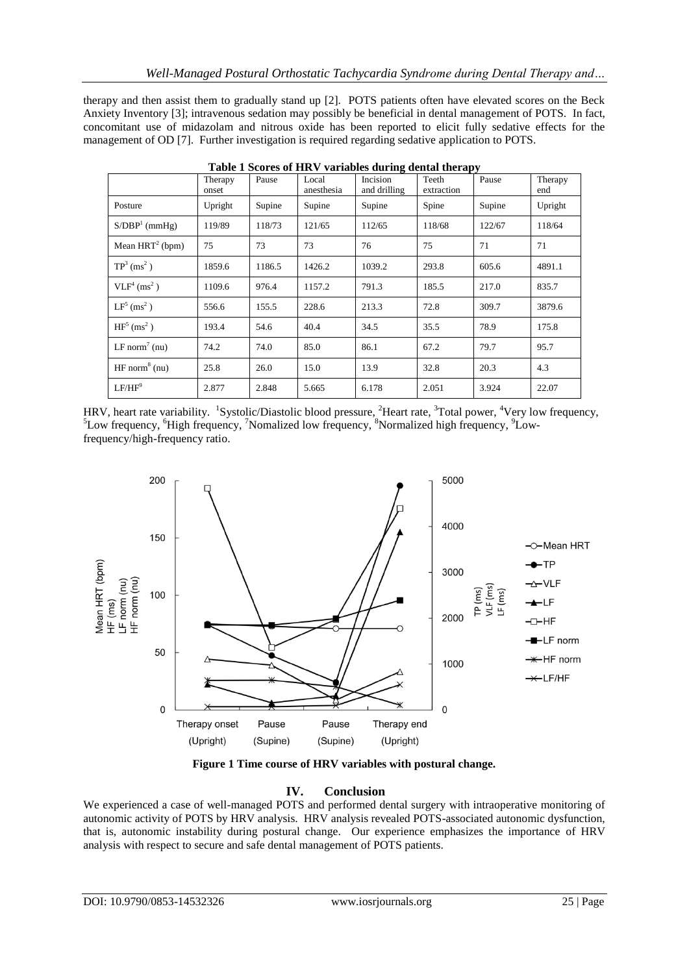therapy and then assist them to gradually stand up [2]. POTS patients often have elevated scores on the Beck Anxiety Inventory [3]; intravenous sedation may possibly be beneficial in dental management of POTS. In fact, concomitant use of midazolam and nitrous oxide has been reported to elicit fully sedative effects for the management of OD [7]. Further investigation is required regarding sedative application to POTS.

|                                     | Therapy<br>onset | Pause  | Local<br>anesthesia | Incision<br>and drilling | Teeth<br>extraction | Pause  | Therapy<br>end |
|-------------------------------------|------------------|--------|---------------------|--------------------------|---------------------|--------|----------------|
| Posture                             | Upright          | Supine | Supine              | Supine                   | Spine               | Supine | Upright        |
| $S/DBP1$ (mmHg)                     | 119/89           | 118/73 | 121/65              | 112/65                   | 118/68              | 122/67 | 118/64         |
| Mean $HRT^2$ (bpm)                  | 75               | 73     | 73                  | 76                       | 75                  | 71     | 71             |
| $TP^3$ (ms <sup>2</sup> )           | 1859.6           | 1186.5 | 1426.2              | 1039.2                   | 293.8               | 605.6  | 4891.1         |
| VLF <sup>4</sup> (ms <sup>2</sup> ) | 1109.6           | 976.4  | 1157.2              | 791.3                    | 185.5               | 217.0  | 835.7          |
| $LF5$ (ms <sup>2</sup> )            | 556.6            | 155.5  | 228.6               | 213.3                    | 72.8                | 309.7  | 3879.6         |
| $HF5$ (ms <sup>2</sup> )            | 193.4            | 54.6   | 40.4                | 34.5                     | 35.5                | 78.9   | 175.8          |
| LF norm <sup>7</sup> (nu)           | 74.2             | 74.0   | 85.0                | 86.1                     | 67.2                | 79.7   | 95.7           |
| $HF$ norm <sup>8</sup> (nu)         | 25.8             | 26.0   | 15.0                | 13.9                     | 32.8                | 20.3   | 4.3            |
| $LF/HF^9$                           | 2.877            | 2.848  | 5.665               | 6.178                    | 2.051               | 3.924  | 22.07          |

**Table 1 Scores of HRV variables during dental therapy**

HRV, heart rate variability. <sup>1</sup>Systolic/Diastolic blood pressure, <sup>2</sup>Heart rate, <sup>3</sup>Total power, <sup>4</sup>Very low frequency,  ${}^{5}$ Low frequency,  ${}^{6}$ High frequency,  ${}^{7}$ Nomalized low frequency,  ${}^{8}$ Normalized high frequency,  ${}^{9}$ Lowfrequency/high-frequency ratio.



**Figure 1 Time course of HRV variables with postural change.** 

## **IV. Conclusion**

We experienced a case of well-managed POTS and performed dental surgery with intraoperative monitoring of autonomic activity of POTS by HRV analysis. HRV analysis revealed POTS-associated autonomic dysfunction, that is, autonomic instability during postural change. Our experience emphasizes the importance of HRV analysis with respect to secure and safe dental management of POTS patients.